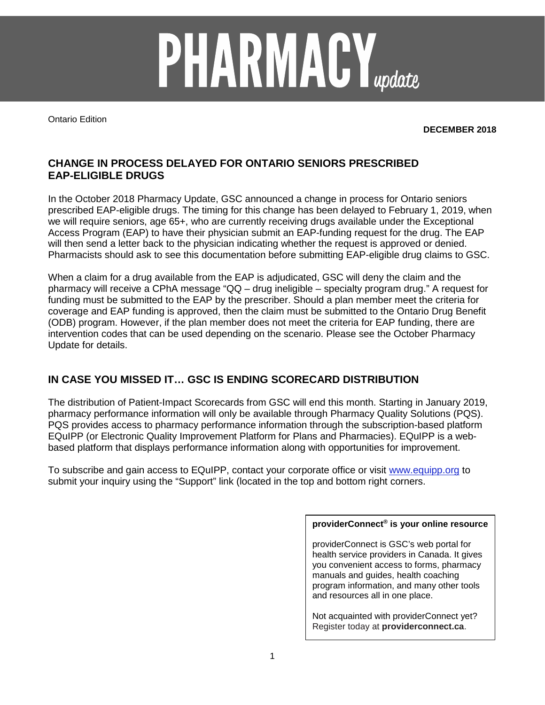

Ontario Edition

**DECEMBER 2018**

## **CHANGE IN PROCESS DELAYED FOR ONTARIO SENIORS PRESCRIBED EAP-ELIGIBLE DRUGS**

In the October 2018 Pharmacy Update, GSC announced a change in process for Ontario seniors prescribed EAP-eligible drugs. The timing for this change has been delayed to February 1, 2019, when we will require seniors, age 65+, who are currently receiving drugs available under the Exceptional Access Program (EAP) to have their physician submit an EAP-funding request for the drug. The EAP will then send a letter back to the physician indicating whether the request is approved or denied. Pharmacists should ask to see this documentation before submitting EAP-eligible drug claims to GSC.

When a claim for a drug available from the EAP is adjudicated, GSC will deny the claim and the pharmacy will receive a CPhA message "QQ – drug ineligible – specialty program drug." A request for funding must be submitted to the EAP by the prescriber. Should a plan member meet the criteria for coverage and EAP funding is approved, then the claim must be submitted to the Ontario Drug Benefit (ODB) program. However, if the plan member does not meet the criteria for EAP funding, there are intervention codes that can be used depending on the scenario. Please see the October Pharmacy Update for details.

## **IN CASE YOU MISSED IT… GSC IS ENDING SCORECARD DISTRIBUTION**

The distribution of Patient-Impact Scorecards from GSC will end this month. Starting in January 2019, pharmacy performance information will only be available through Pharmacy Quality Solutions (PQS). PQS provides access to pharmacy performance information through the subscription-based platform EQuIPP (or Electronic Quality Improvement Platform for Plans and Pharmacies). EQuIPP is a webbased platform that displays performance information along with opportunities for improvement.

To subscribe and gain access to EQuIPP, contact your corporate office or visit [www.equipp.org](http://www.equipp.org/) to submit your inquiry using the "Support" link (located in the top and bottom right corners.

## **providerConnect® is your online resource**

providerConnect is GSC's web portal for health service providers in Canada. It gives you convenient access to forms, pharmacy manuals and guides, health coaching program information, and many other tools and resources all in one place.

Not acquainted with providerConnect yet? Register today at **providerconnect.ca**.